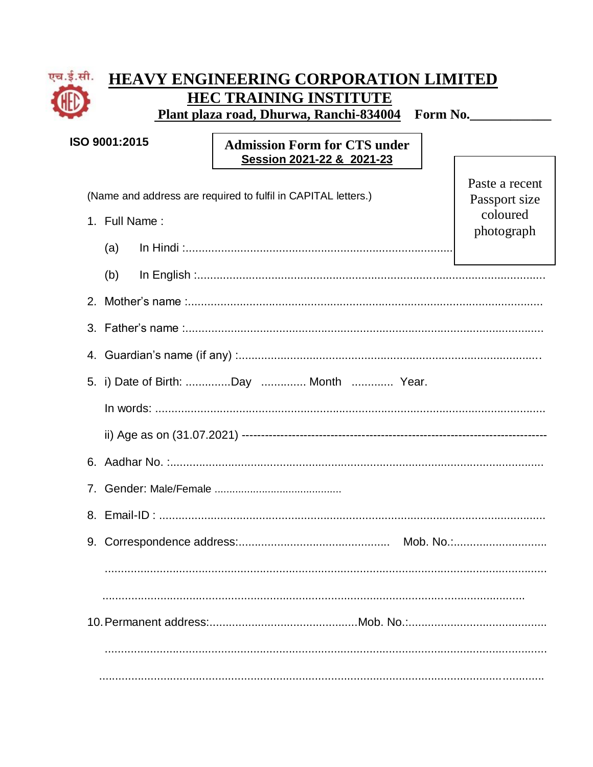

# **HEAVY ENGINEERING CORPORATION LIMITED HEC TRAINING INSTITUTE** Plant plaza road, Dhurwa, Ranchi-834004 Form No.

## ISO 9001:2015

## **Admission Form for CTS under** Session 2021-22 & 2021-23

|  | (Name and address are required to fulfil in CAPITAL letters.) | Paste a recent<br>Passport size         |  |  |  |
|--|---------------------------------------------------------------|-----------------------------------------|--|--|--|
|  |                                                               | coloured<br>1. Full Name:<br>photograph |  |  |  |
|  | (a)                                                           |                                         |  |  |  |
|  | (b)                                                           |                                         |  |  |  |
|  |                                                               |                                         |  |  |  |
|  |                                                               |                                         |  |  |  |
|  |                                                               |                                         |  |  |  |
|  | 5. i) Date of Birth: Day  Month  Year.                        |                                         |  |  |  |
|  |                                                               |                                         |  |  |  |
|  |                                                               |                                         |  |  |  |
|  |                                                               |                                         |  |  |  |
|  |                                                               |                                         |  |  |  |
|  |                                                               |                                         |  |  |  |
|  |                                                               |                                         |  |  |  |
|  |                                                               |                                         |  |  |  |
|  |                                                               |                                         |  |  |  |
|  |                                                               |                                         |  |  |  |
|  |                                                               |                                         |  |  |  |
|  |                                                               |                                         |  |  |  |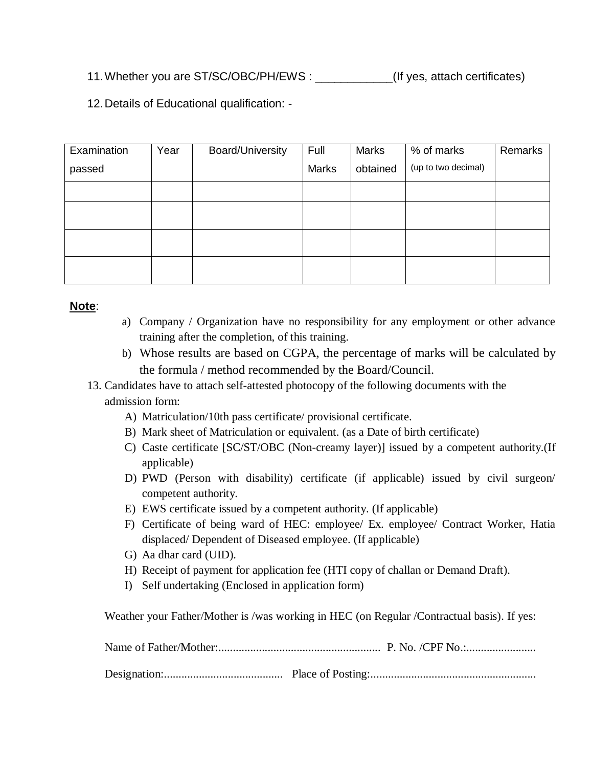11.Whether you are ST/SC/OBC/PH/EWS : \_\_\_\_\_\_\_\_\_\_\_\_(If yes, attach certificates)

12.Details of Educational qualification: -

| Examination | Year | <b>Board/University</b> | Full         | <b>Marks</b> | % of marks          | Remarks |
|-------------|------|-------------------------|--------------|--------------|---------------------|---------|
| passed      |      |                         | <b>Marks</b> | obtained     | (up to two decimal) |         |
|             |      |                         |              |              |                     |         |
|             |      |                         |              |              |                     |         |
|             |      |                         |              |              |                     |         |
|             |      |                         |              |              |                     |         |

### **Note**:

- a) Company / Organization have no responsibility for any employment or other advance training after the completion, of this training.
- b) Whose results are based on CGPA, the percentage of marks will be calculated by the formula / method recommended by the Board/Council.

# 13. Candidates have to attach self-attested photocopy of the following documents with the

#### admission form:

- A) Matriculation/10th pass certificate/ provisional certificate.
- B) Mark sheet of Matriculation or equivalent. (as a Date of birth certificate)
- C) Caste certificate [SC/ST/OBC (Non-creamy layer)] issued by a competent authority.(If applicable)
- D) PWD (Person with disability) certificate (if applicable) issued by civil surgeon/ competent authority.
- E) EWS certificate issued by a competent authority. (If applicable)
- F) Certificate of being ward of HEC: employee/ Ex. employee/ Contract Worker, Hatia displaced/ Dependent of Diseased employee. (If applicable)
- G) Aa dhar card (UID).
- H) Receipt of payment for application fee (HTI copy of challan or Demand Draft).
- I) Self undertaking (Enclosed in application form)

Weather your Father/Mother is /was working in HEC (on Regular /Contractual basis). If yes: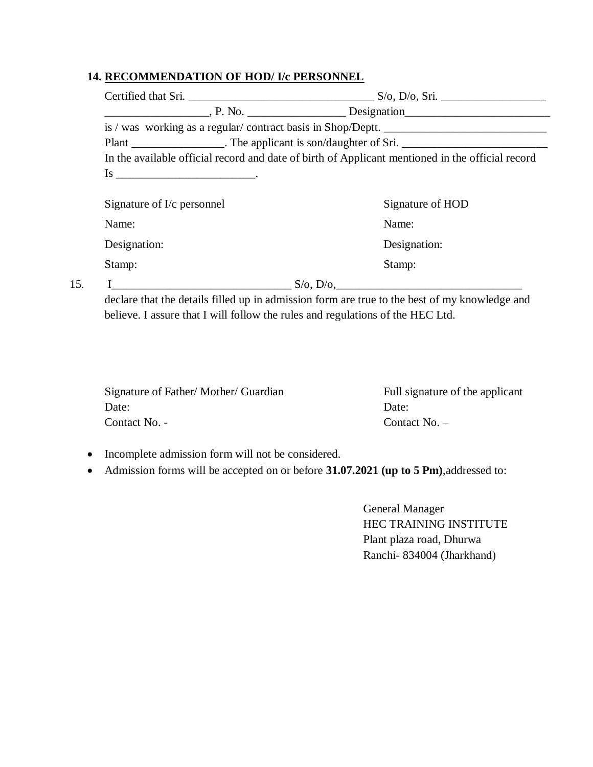#### **14. RECOMMENDATION OF HOD/ I/c PERSONNEL**

|                                                                                                  | $P. No.$ Designation                        |  |  |
|--------------------------------------------------------------------------------------------------|---------------------------------------------|--|--|
|                                                                                                  |                                             |  |  |
|                                                                                                  | Plant The applicant is son/daughter of Sri. |  |  |
| In the available official record and date of birth of Applicant mentioned in the official record |                                             |  |  |
|                                                                                                  |                                             |  |  |
|                                                                                                  |                                             |  |  |

| Signature of I/c personnel | Signature of HOD |
|----------------------------|------------------|
| Name:                      | Name:            |
| Designation:               | Designation:     |
| Stamp:                     | Stamp:           |
|                            |                  |

15.  $I_{\_}$ 

declare that the details filled up in admission form are true to the best of my knowledge and believe. I assure that I will follow the rules and regulations of the HEC Ltd.

| Signature of Father/Mother/Guardian | Full signature of the applicant |
|-------------------------------------|---------------------------------|
| Date:                               | Date:                           |
| Contact No. -                       | Contact No. $-$                 |

- Incomplete admission form will not be considered.
- Admission forms will be accepted on or before **31.07.2021 (up to 5 Pm)**,addressed to:

 General Manager HEC TRAINING INSTITUTE Plant plaza road, Dhurwa Ranchi- 834004 (Jharkhand)